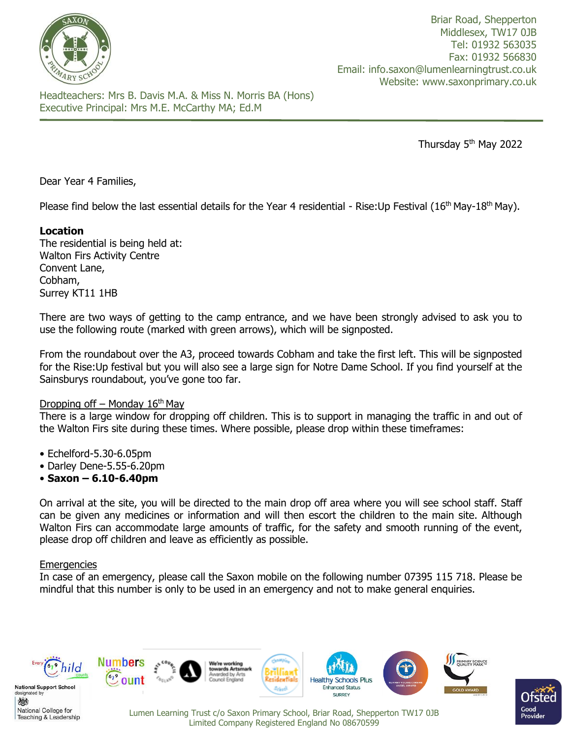

Briar Road, Shepperton Middlesex, TW17 0JB Tel: 01932 563035 Fax: 01932 566830 Email: info.saxon@lumenlearningtrust.co.uk Website: www.saxonprimary.co.uk

Headteachers: Mrs B. Davis M.A. & Miss N. Morris BA (Hons) Executive Principal: Mrs M.E. McCarthy MA; Ed.M

Thursday 5<sup>th</sup> May 2022

Dear Year 4 Families,

Please find below the last essential details for the Year 4 residential - Rise:Up Festival (16<sup>th</sup> May-18<sup>th</sup> May).

# **Location**

The residential is being held at: Walton Firs Activity Centre Convent Lane, Cobham, Surrey KT11 1HB

There are two ways of getting to the camp entrance, and we have been strongly advised to ask you to use the following route (marked with green arrows), which will be signposted.

From the roundabout over the A3, proceed towards Cobham and take the first left. This will be signposted for the Rise:Up festival but you will also see a large sign for Notre Dame School. If you find yourself at the Sainsburys roundabout, you've gone too far.

#### Dropping off – Monday  $16<sup>th</sup>$  May

There is a large window for dropping off children. This is to support in managing the traffic in and out of the Walton Firs site during these times. Where possible, please drop within these timeframes:

- Echelford-5.30-6.05pm
- Darley Dene-5.55-6.20pm
- **Saxon – 6.10-6.40pm**

On arrival at the site, you will be directed to the main drop off area where you will see school staff. Staff can be given any medicines or information and will then escort the children to the main site. Although Walton Firs can accommodate large amounts of traffic, for the safety and smooth running of the event, please drop off children and leave as efficiently as possible.

#### **Emergencies**

In case of an emergency, please call the Saxon mobile on the following number 07395 115 718. Please be mindful that this number is only to be used in an emergency and not to make general enquiries.

Limited Company Registered England No 08670599



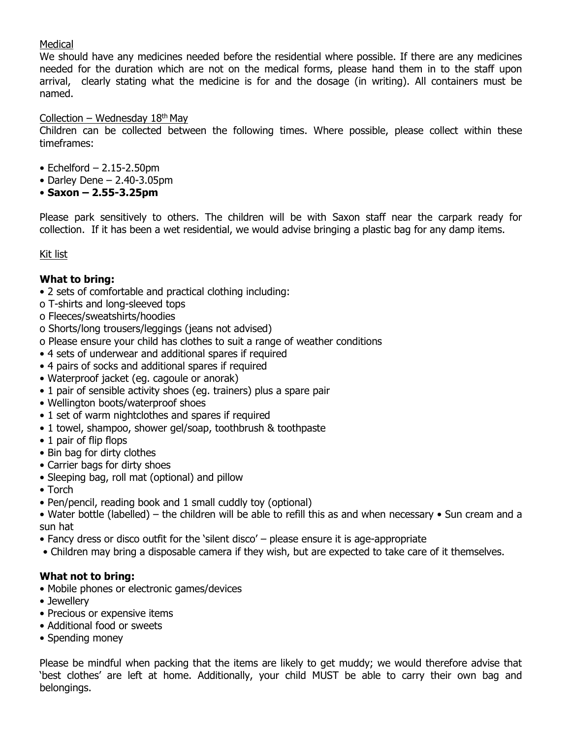# Medical

We should have any medicines needed before the residential where possible. If there are any medicines needed for the duration which are not on the medical forms, please hand them in to the staff upon arrival, clearly stating what the medicine is for and the dosage (in writing). All containers must be named.

# Collection – Wednesday  $18<sup>th</sup>$  May

Children can be collected between the following times. Where possible, please collect within these timeframes:

- $\bullet$  Echelford  $-$  2.15-2.50pm
- Darley Dene  $2.40 3.05$ pm
- **Saxon – 2.55-3.25pm**

Please park sensitively to others. The children will be with Saxon staff near the carpark ready for collection. If it has been a wet residential, we would advise bringing a plastic bag for any damp items.

# Kit list

# **What to bring:**

- 2 sets of comfortable and practical clothing including:
- o T-shirts and long-sleeved tops
- o Fleeces/sweatshirts/hoodies
- o Shorts/long trousers/leggings (jeans not advised)
- o Please ensure your child has clothes to suit a range of weather conditions
- 4 sets of underwear and additional spares if required
- 4 pairs of socks and additional spares if required
- Waterproof jacket (eg. cagoule or anorak)
- 1 pair of sensible activity shoes (eg. trainers) plus a spare pair
- Wellington boots/waterproof shoes
- 1 set of warm nightclothes and spares if required
- 1 towel, shampoo, shower gel/soap, toothbrush & toothpaste
- 1 pair of flip flops
- Bin bag for dirty clothes
- Carrier bags for dirty shoes
- Sleeping bag, roll mat (optional) and pillow
- Torch
- Pen/pencil, reading book and 1 small cuddly toy (optional)

• Water bottle (labelled) – the children will be able to refill this as and when necessary • Sun cream and a sun hat

- Fancy dress or disco outfit for the 'silent disco' please ensure it is age-appropriate
- Children may bring a disposable camera if they wish, but are expected to take care of it themselves.

# **What not to bring:**

- Mobile phones or electronic games/devices
- Jewellery
- Precious or expensive items
- Additional food or sweets
- Spending money

Please be mindful when packing that the items are likely to get muddy; we would therefore advise that 'best clothes' are left at home. Additionally, your child MUST be able to carry their own bag and belongings.